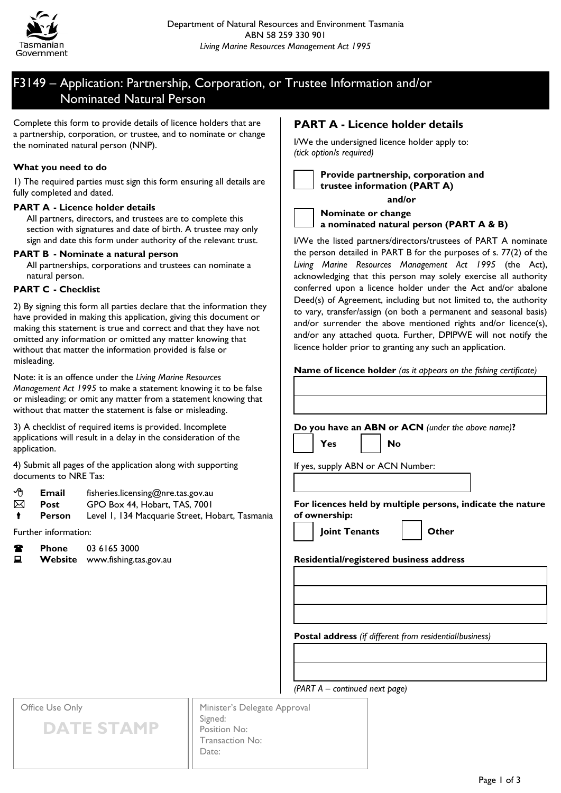

# F3149 – Application: Partnership, Corporation, or Trustee Information and/or Nominated Natural Person

Complete this form to provide details of licence holders that are a partnership, corporation, or trustee, and to nominate or change the nominated natural person (NNP).

## **What you need to do**

1) The required parties must sign this form ensuring all details are fully completed and dated.

#### **PART A - Licence holder details**

All partners, directors, and trustees are to complete this section with signatures and date of birth. A trustee may only sign and date this form under authority of the relevant trust.

## **PART B - Nominate a natural person**

All partnerships, corporations and trustees can nominate a natural person.

## **PART C - Checklist**

2) By signing this form all parties declare that the information they have provided in making this application, giving this document or making this statement is true and correct and that they have not omitted any information or omitted any matter knowing that without that matter the information provided is false or misleading.

Note: it is an offence under the *Living Marine Resources Management Act 1995* to make a statement knowing it to be false or misleading; or omit any matter from a statement knowing that without that matter the statement is false or misleading.

3) A checklist of required items is provided. Incomplete applications will result in a delay in the consideration of the application.

4) Submit all pages of the application along with supporting documents to NRE Tas:

- **Email** fisheries.licensing@nre.tas.gov.au
- **Post** GPO Box 44, Hobart, TAS, 7001
- **Person** Level 1, 134 Macquarie Street, Hobart, Tasmania

Further information:

| Т | <b>Phone</b> | 03 6165 3000                   |
|---|--------------|--------------------------------|
| 旦 |              | Website www.fishing.tas.gov.au |

## **PART A - Licence holder details**

I/We the undersigned licence holder apply to: *(tick option/s required)*



**Provide partnership, corporation and trustee information (PART A)**

**and/or**



I/We the listed partners/directors/trustees of PART A nominate the person detailed in PART B for the purposes of s. 77(2) of the *Living Marine Resources Management Act 1995* (the Act), acknowledging that this person may solely exercise all authority conferred upon a licence holder under the Act and/or abalone Deed(s) of Agreement, including but not limited to, the authority to vary, transfer/assign (on both a permanent and seasonal basis) and/or surrender the above mentioned rights and/or licence(s), and/or any attached quota. Further, DPIPWE will not notify the licence holder prior to granting any such an application.

**Name of licence holder** *(as it appears on the fishing certificate)*

| Do you have an ABN or ACN (under the above name)? |  |  |  |
|---------------------------------------------------|--|--|--|
|                                                   |  |  |  |

If yes, supply ABN or ACN Number:

**Yes No** 

**For licences held by multiple persons, indicate the nature of ownership:**

**Joint Tenants Other**

## **Residential/registered business address**

**Postal address** *(if different from residential/business)*

Office Use Only



Minister's Delegate Approval Signed: Position No: Transaction No: Date:

*(PART A – continued next page)*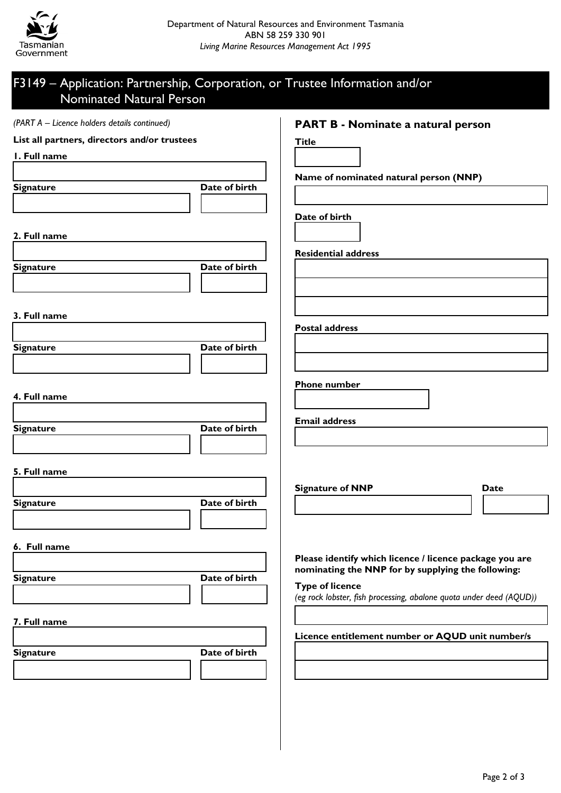

# F3149 – Application: Partnership, Corporation, or Trustee Information and/or Nominated Natural Person

| (PART A - Licence holders details continued) |               | <b>PART B - Nominate a natural person</b>                           |      |
|----------------------------------------------|---------------|---------------------------------------------------------------------|------|
| List all partners, directors and/or trustees |               | <b>Title</b>                                                        |      |
| I. Full name                                 |               |                                                                     |      |
|                                              |               | Name of nominated natural person (NNP)                              |      |
| <b>Signature</b>                             | Date of birth |                                                                     |      |
|                                              |               |                                                                     |      |
|                                              |               | Date of birth                                                       |      |
| 2. Full name                                 |               |                                                                     |      |
|                                              |               | <b>Residential address</b>                                          |      |
| <b>Signature</b>                             | Date of birth |                                                                     |      |
|                                              |               |                                                                     |      |
|                                              |               |                                                                     |      |
| 3. Full name                                 |               |                                                                     |      |
|                                              |               | <b>Postal address</b>                                               |      |
| <b>Signature</b>                             | Date of birth |                                                                     |      |
|                                              |               |                                                                     |      |
|                                              |               | <b>Phone number</b>                                                 |      |
| 4. Full name                                 |               |                                                                     |      |
|                                              |               |                                                                     |      |
| <b>Signature</b>                             | Date of birth | <b>Email address</b>                                                |      |
|                                              |               |                                                                     |      |
|                                              |               |                                                                     |      |
| 5. Full name                                 |               |                                                                     |      |
|                                              |               | <b>Signature of NNP</b>                                             | Date |
| <b>Signature</b>                             | Date of birth |                                                                     |      |
|                                              |               |                                                                     |      |
| 6. Full name                                 |               |                                                                     |      |
|                                              |               | Please identify which licence / licence package you are             |      |
| <b>Signature</b>                             | Date of birth | nominating the NNP for by supplying the following:                  |      |
|                                              |               | <b>Type of licence</b>                                              |      |
|                                              |               | (eg rock lobster, fish processing, abalone quota under deed (AQUD)) |      |
| 7. Full name                                 |               |                                                                     |      |
|                                              |               | Licence entitlement number or AQUD unit number/s                    |      |
| <b>Signature</b>                             | Date of birth |                                                                     |      |
|                                              |               |                                                                     |      |
|                                              |               |                                                                     |      |